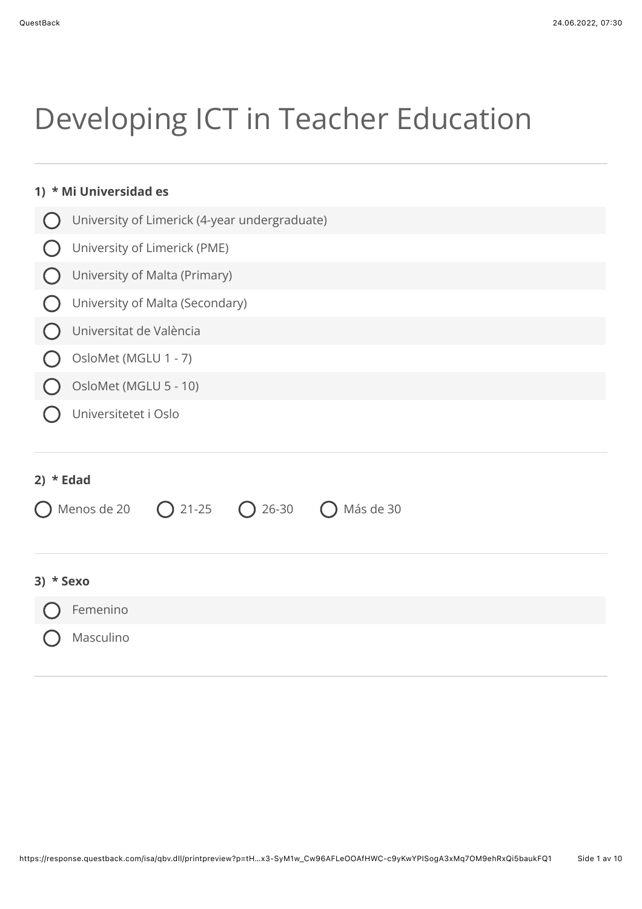# Developing ICT in Teacher Education

| * Mi Universidad es<br>1)                                |  |  |  |  |  |  |  |  |
|----------------------------------------------------------|--|--|--|--|--|--|--|--|
| University of Limerick (4-year undergraduate)            |  |  |  |  |  |  |  |  |
| University of Limerick (PME)                             |  |  |  |  |  |  |  |  |
| University of Malta (Primary)                            |  |  |  |  |  |  |  |  |
| University of Malta (Secondary)                          |  |  |  |  |  |  |  |  |
| Universitat de València                                  |  |  |  |  |  |  |  |  |
| OsloMet (MGLU 1 - 7)                                     |  |  |  |  |  |  |  |  |
| OsloMet (MGLU 5 - 10)                                    |  |  |  |  |  |  |  |  |
| Universitetet i Oslo                                     |  |  |  |  |  |  |  |  |
| 2) $*$ Edad                                              |  |  |  |  |  |  |  |  |
| Menos de 20<br>$\bigcap$ 26-30<br>Más de 30<br>$O$ 21-25 |  |  |  |  |  |  |  |  |
| * Sexo<br>3)                                             |  |  |  |  |  |  |  |  |
| Femenino                                                 |  |  |  |  |  |  |  |  |

Masculino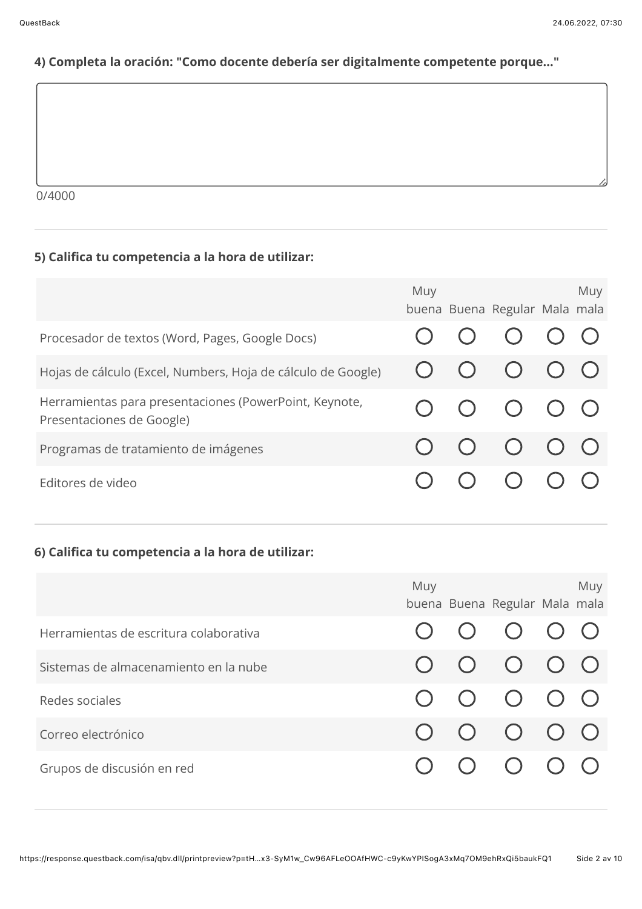## 4) Completa la oración: "Como docente debería ser digitalmente competente porque..."

 $0/4000$ 

## 5) Califica tu competencia a la hora de utilizar:

|                                                                                     | Muy | buena Buena Regular Mala mala                                          | Muy |
|-------------------------------------------------------------------------------------|-----|------------------------------------------------------------------------|-----|
| Procesador de textos (Word, Pages, Google Docs)                                     |     | $O$ $O$ $O$ $O$                                                        |     |
| Hojas de cálculo (Excel, Numbers, Hoja de cálculo de Google)                        |     | $\begin{array}{ccc} \circ & \circ & \circ & \circ \circ \end{array}$   |     |
| Herramientas para presentaciones (PowerPoint, Keynote,<br>Presentaciones de Google) |     | $\begin{array}{ccc} & O & O & O & O \end{array}$                       |     |
| Programas de tratamiento de imágenes                                                |     | $\begin{array}{ccc} \circ & \circ & \circ & \circ & \circ \end{array}$ |     |
| Editores de video                                                                   |     | $()$ $()$                                                              |     |

### 6) Califica tu competencia a la hora de utilizar:

|                                        | Muy | buena Buena Regular Mala mala                                          | Muy |
|----------------------------------------|-----|------------------------------------------------------------------------|-----|
| Herramientas de escritura colaborativa |     | $\begin{array}{ccc} \circ & \circ & \circ & \circ & \circ \end{array}$ |     |
| Sistemas de almacenamiento en la nube  |     | $\begin{matrix} 0 & 0 & 0 & 0 & 0 \end{matrix}$                        |     |
| Redes sociales                         |     | $O$ $O$ $O$ $O$ $O$                                                    |     |
| Correo electrónico                     |     | $\begin{matrix} 0 & 0 & 0 & 0 & 0 \end{matrix}$                        |     |
| Grupos de discusión en red             |     | $O$ $O$ $O$ $O$                                                        |     |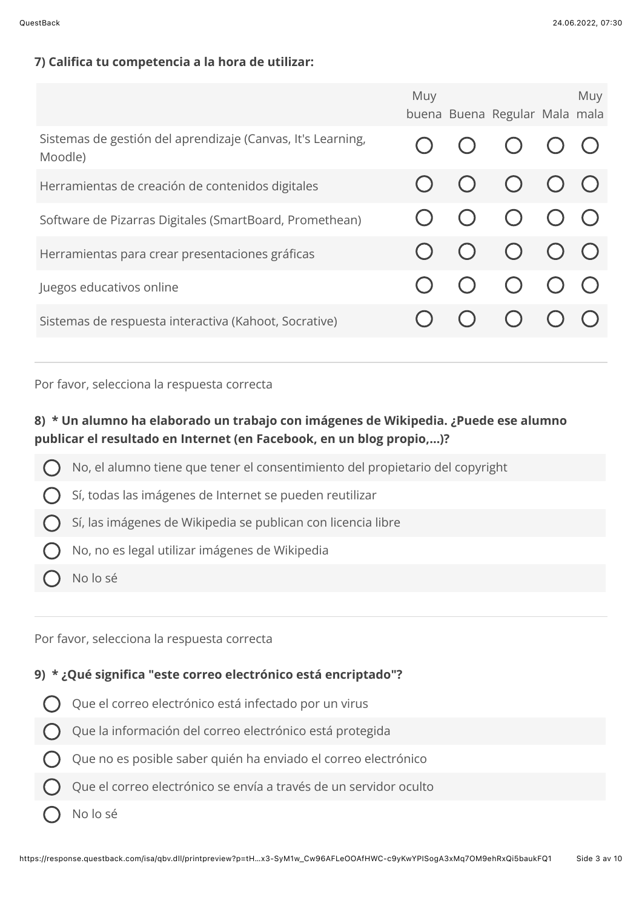#### 7) Califica tu competencia a la hora de utilizar:

|                                                                        | Muy | buena Buena Regular Mala mala                    | Muy |
|------------------------------------------------------------------------|-----|--------------------------------------------------|-----|
| Sistemas de gestión del aprendizaje (Canvas, It's Learning,<br>Moodle) |     | $O$ $O$ $O$ $O$                                  |     |
| Herramientas de creación de contenidos digitales                       |     | $\begin{array}{ccc} & O & O & O & O \end{array}$ |     |
| Software de Pizarras Digitales (SmartBoard, Promethean)                |     | $O$ $O$ $O$ $O$                                  |     |
| Herramientas para crear presentaciones gráficas                        |     | $O$ $O$ $O$ $O$                                  |     |
| Juegos educativos online                                               |     | $O$ $O$ $O$ $O$                                  |     |
| Sistemas de respuesta interactiva (Kahoot, Socrative)                  |     | $\bigcirc$                                       |     |

Por favor, selecciona la respuesta correcta

## 8) \* Un alumno ha elaborado un trabajo con imágenes de Wikipedia. ¿Puede ese alumno publicar el resultado en Internet (en Facebook, en un blog propio,...)?

- No, el alumno tiene que tener el consentimiento del propietario del copyright
- Sí, todas las imágenes de Internet se pueden reutilizar
- Sí, las imágenes de Wikipedia se publican con licencia libre
- No, no es legal utilizar imágenes de Wikipedia
- No lo sé

Por favor, selecciona la respuesta correcta

#### 9) \* ¿Qué significa "este correo electrónico está encriptado"?

- Que el correo electrónico está infectado por un virus
- Que la información del correo electrónico está protegida
- Que no es posible saber quién ha enviado el correo electrónico
- Que el correo electrónico se envía a través de un servidor oculto
- No lo sé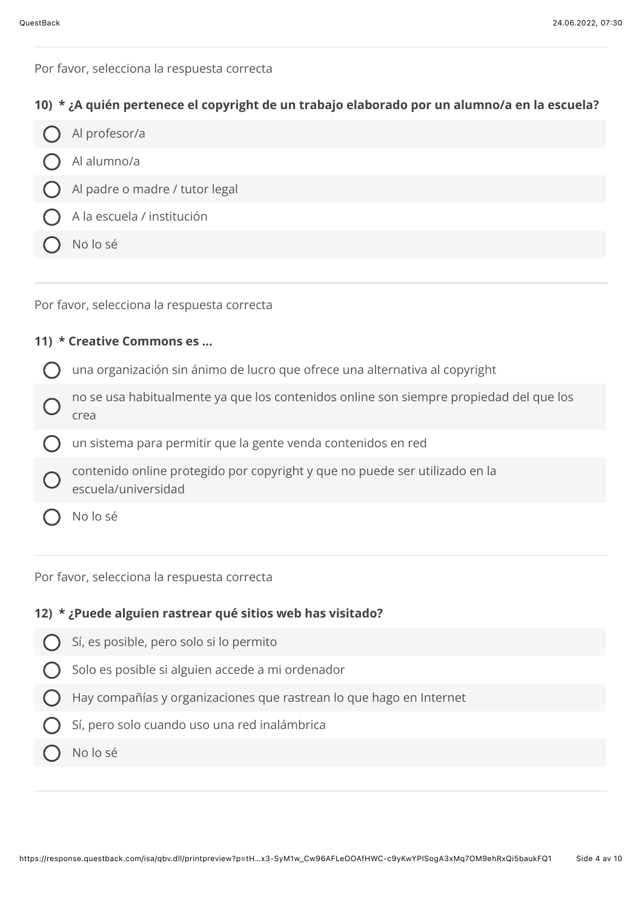Por favor, selecciona la respuesta correcta

#### 10) \* ¿A quién pertenece el copyright de un trabajo elaborado por un alumno/a en la escuela?

Al profesor/a Al alumno/a Al padre o madre / tutor legal A la escuela / institución No lo sé

Por favor, selecciona la respuesta correcta

#### 11) \* Creative Commons es ...

- una organización sin ánimo de lucro que ofrece una alternativa al copyright
- no se usa habitualmente ya que los contenidos online son siempre propiedad del que los crea
- un sistema para permitir que la gente venda contenidos en red
- contenido online protegido por copyright y que no puede ser utilizado en la escuela/universidad
- No lo sé

Por favor, selecciona la respuesta correcta

## 12) \* ¿Puede alguien rastrear qué sitios web has visitado?

- Sí, es posible, pero solo si lo permito
- Solo es posible si alguien accede a mi ordenador
- Hay compañías y organizaciones que rastrean lo que hago en Internet
- Sí, pero solo cuando uso una red inalámbrica
- No lo sé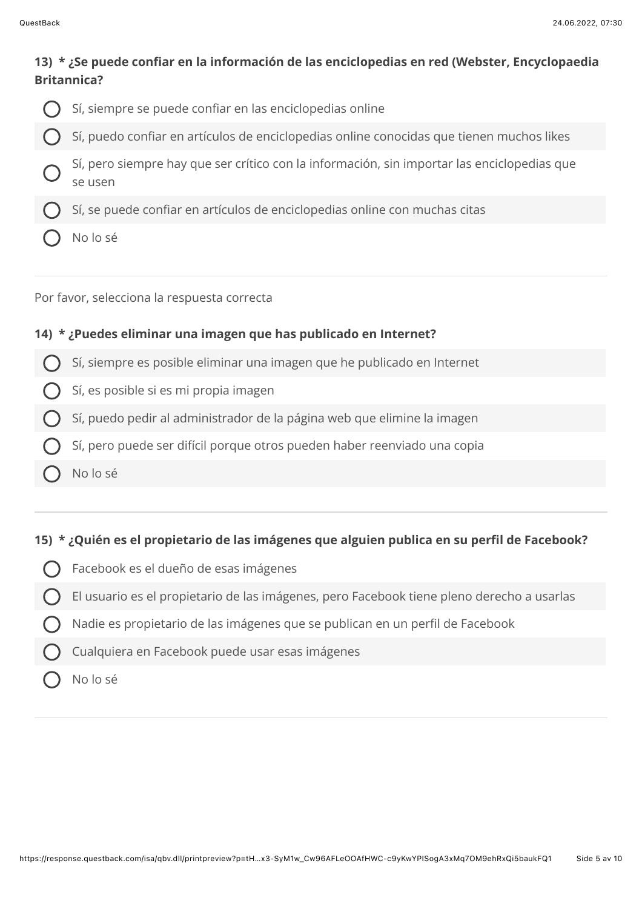## 13) \* ¿Se puede confiar en la información de las enciclopedias en red (Webster, Encyclopaedia **Rritannica?**

Sí, siempre se puede confiar en las enciclopedias online Sí, puedo confiar en artículos de enciclopedias online conocidas que tienen muchos likes Sí, pero siempre hay que ser crítico con la información, sin importar las enciclopedias que se usen Sí, se puede confiar en artículos de enciclopedias online con muchas citas No lo sé

Por favor, selecciona la respuesta correcta

#### 14) \* ¿Puedes eliminar una imagen que has publicado en Internet?

- Sí, siempre es posible eliminar una imagen que he publicado en Internet
- Sí, es posible si es mi propia imagen
- Sí, puedo pedir al administrador de la página web que elimine la imagen
- Sí, pero puede ser difícil porque otros pueden haber reenviado una copia
- No lo sé

#### 15) \* ¿Quién es el propietario de las imágenes que alguien publica en su perfil de Facebook?

- Facebook es el dueño de esas imágenes
- El usuario es el propietario de las imágenes, pero Facebook tiene pleno derecho a usarlas
- Nadie es propietario de las imágenes que se publican en un perfil de Facebook
- Cualquiera en Facebook puede usar esas imágenes
- No lo sé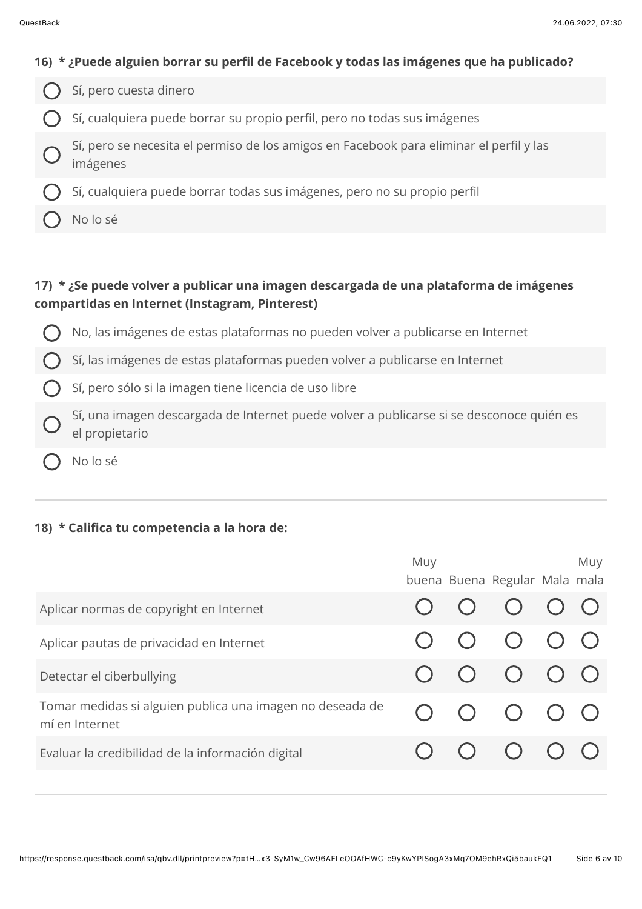| 16) * ¿Puede alguien borrar su perfil de Facebook y todas las imágenes que ha publicado? |
|------------------------------------------------------------------------------------------|
| $\bigcap$ Sí, pero cuesta dinero                                                         |
| $\bigcap$ Sí, cualquiera puede borrar su propio perfil, pero no todas sus imágenes       |

- Sí, pero se necesita el permiso de los amigos en Facebook para eliminar el perfil y las imágenes
- Sí, cualquiera puede borrar todas sus imágenes, pero no su propio perfil
- No lo sé

# 17) \* ¿Se puede volver a publicar una imagen descargada de una plataforma de imágenes compartidas en Internet (Instagram, Pinterest)

No, las imágenes de estas plataformas no pueden volver a publicarse en Internet

Sí, las imágenes de estas plataformas pueden volver a publicarse en Internet

Sí, pero sólo si la imagen tiene licencia de uso libre

- Sí, una imagen descargada de Internet puede volver a publicarse si se desconoce quién es el propietario
- No lo sé

## 18) \* Califica tu competencia a la hora de:

|                                                                             | Muy | buena Buena Regular Mala mala                                          | Muy |
|-----------------------------------------------------------------------------|-----|------------------------------------------------------------------------|-----|
| Aplicar normas de copyright en Internet                                     |     | $\begin{array}{ccc} \circ & \circ & \circ & \circ \end{array}$         |     |
| Aplicar pautas de privacidad en Internet                                    |     | $\begin{array}{ccc} & O & O & O & O \end{array}$                       |     |
| Detectar el ciberbullying                                                   |     | $\begin{array}{ccc} \circ & \circ & \circ & \circ & \circ \end{array}$ |     |
| Tomar medidas si alguien publica una imagen no deseada de<br>mí en Internet |     | $\begin{array}{ccc} & O & O & O & O \end{array}$                       |     |
| Evaluar la credibilidad de la información digital                           |     | $\begin{array}{ccc} \circ & \circ & \circ & \circ \end{array}$         |     |
|                                                                             |     |                                                                        |     |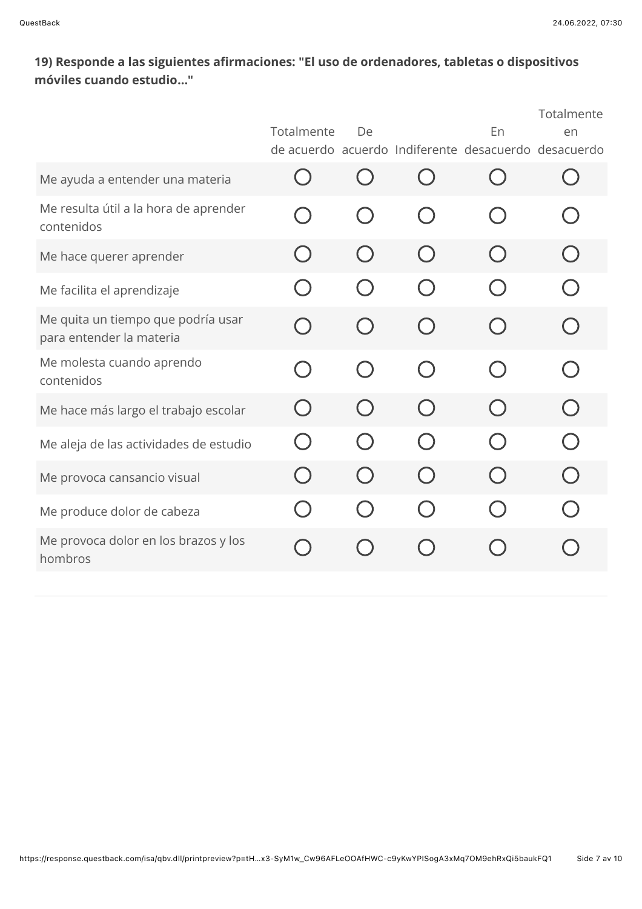# 19) Responde a las siguientes afirmaciones: "El uso de ordenadores, tabletas o dispositivos móviles cuando estudio..."

|                                                                | Totalmente                                    | De                                            |                                               | En                                          | Totalmente<br>en<br>de acuerdo acuerdo Indiferente desacuerdo desacuerdo |
|----------------------------------------------------------------|-----------------------------------------------|-----------------------------------------------|-----------------------------------------------|---------------------------------------------|--------------------------------------------------------------------------|
| Me ayuda a entender una materia                                | $\left(\begin{array}{c} \end{array}\right)$   | ( )                                           |                                               | $\left(\begin{array}{c} \end{array}\right)$ | $\left(\begin{array}{c} \end{array}\right)$                              |
| Me resulta útil a la hora de aprender<br>contenidos            |                                               | $(\ )$                                        | $\left( \begin{array}{c} \end{array} \right)$ |                                             |                                                                          |
| Me hace querer aprender                                        |                                               |                                               |                                               |                                             | $\left( \begin{array}{c} \end{array} \right)$                            |
| Me facilita el aprendizaje                                     | $\left( \begin{array}{c} \end{array} \right)$ | $\left( \begin{array}{c} \end{array} \right)$ |                                               |                                             |                                                                          |
| Me quita un tiempo que podría usar<br>para entender la materia | $\begin{pmatrix} 1 \\ 1 \end{pmatrix}$        | $\left( \begin{array}{c} \end{array} \right)$ | $\left( \quad \right)$                        | $\left( \quad \right)$                      |                                                                          |
| Me molesta cuando aprendo<br>contenidos                        |                                               | $(\ )$                                        | $(\ )$                                        |                                             |                                                                          |
| Me hace más largo el trabajo escolar                           | $( \ )$                                       |                                               |                                               |                                             | $(\ )$                                                                   |
| Me aleja de las actividades de estudio                         | ( )                                           | $(\ )$                                        | $($ )                                         |                                             | $\Box$                                                                   |
| Me provoca cansancio visual                                    |                                               |                                               |                                               |                                             | $\Box$                                                                   |
| Me produce dolor de cabeza                                     |                                               | $\left( \begin{array}{c} \end{array} \right)$ |                                               |                                             |                                                                          |
| Me provoca dolor en los brazos y los<br>hombros                |                                               |                                               |                                               |                                             |                                                                          |
|                                                                |                                               |                                               |                                               |                                             |                                                                          |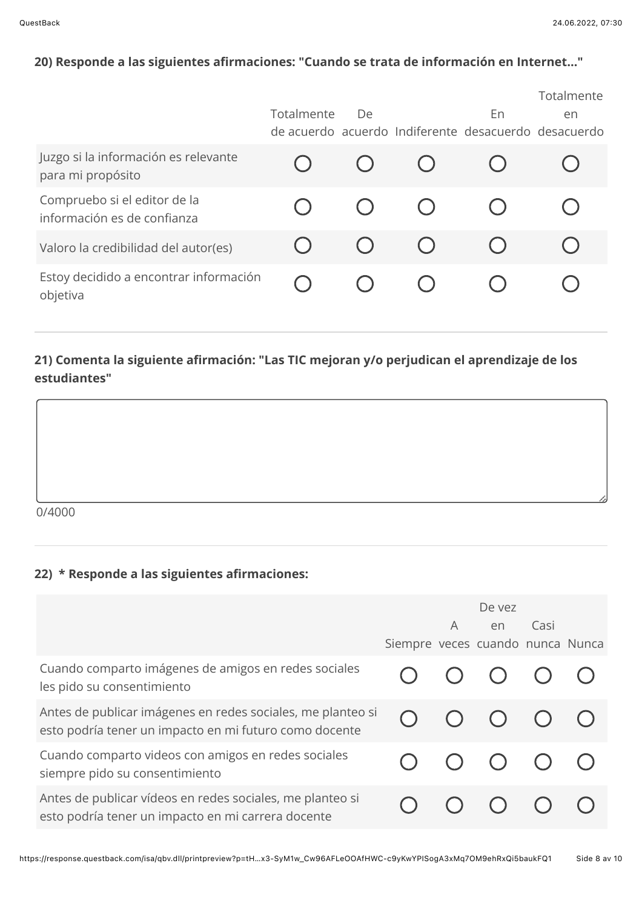# 20) Responde a las siguientes afirmaciones: "Cuando se trata de información en Internet..."

|                                                             |            |    |    | Totalmente                                           |
|-------------------------------------------------------------|------------|----|----|------------------------------------------------------|
|                                                             | Totalmente | De | En | en                                                   |
|                                                             |            |    |    | de acuerdo acuerdo Indiferente desacuerdo desacuerdo |
| Juzgo si la información es relevante<br>para mi propósito   |            |    |    |                                                      |
| Compruebo si el editor de la<br>información es de confianza |            |    |    |                                                      |
| Valoro la credibilidad del autor(es)                        |            |    |    |                                                      |
| Estoy decidido a encontrar información<br>objetiva          |            |    |    |                                                      |

## 21) Comenta la siguiente afirmación: "Las TIC mejoran y/o perjudican el aprendizaje de los estudiantes"

 $0/4000$ 

## 22) \* Responde a las siguientes afirmaciones:

|                                                                                                                       | Siempre veces cuando nunca Nunca | De yez<br>A en                              | Casi |  |
|-----------------------------------------------------------------------------------------------------------------------|----------------------------------|---------------------------------------------|------|--|
| Cuando comparto imágenes de amigos en redes sociales<br>les pido su consentimiento                                    |                                  | $O$ $O$ $O$ $O$                             |      |  |
| Antes de publicar imágenes en redes sociales, me planteo si<br>esto podría tener un impacto en mi futuro como docente |                                  | $\begin{matrix} 0 & 0 & 0 & 0 \end{matrix}$ |      |  |
| Cuando comparto videos con amigos en redes sociales<br>siempre pido su consentimiento                                 |                                  | $\begin{matrix} 0 & 0 & 0 & 0 \end{matrix}$ |      |  |
| Antes de publicar vídeos en redes sociales, me planteo si<br>esto podría tener un impacto en mi carrera docente       |                                  |                                             |      |  |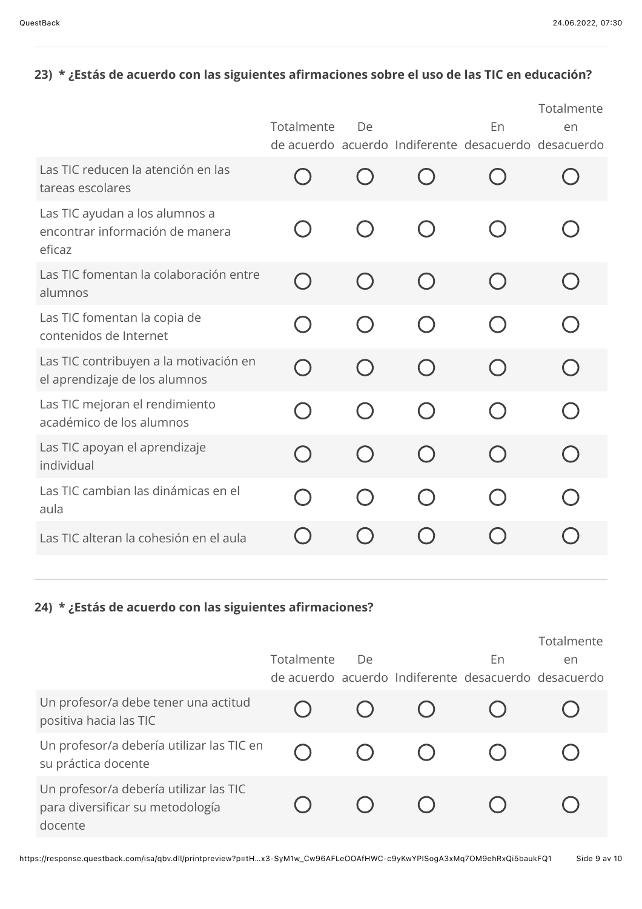# 23) \* ¿Estás de acuerdo con las siguientes afirmaciones sobre el uso de las TIC en educación?

|                                                                             | Totalmente                       | De                                            |                        | En | Totalmente<br>en<br>de acuerdo acuerdo Indiferente desacuerdo desacuerdo |
|-----------------------------------------------------------------------------|----------------------------------|-----------------------------------------------|------------------------|----|--------------------------------------------------------------------------|
| Las TIC reducen la atención en las<br>tareas escolares                      |                                  |                                               |                        |    |                                                                          |
| Las TIC ayudan a los alumnos a<br>encontrar información de manera<br>eficaz | $\Box$                           | $(\quad)$                                     | $(\quad)$              |    |                                                                          |
| Las TIC fomentan la colaboración entre<br>alumnos                           | $\Box$                           | ( )                                           | $\left( \quad \right)$ |    |                                                                          |
| Las TIC fomentan la copia de<br>contenidos de Internet                      |                                  |                                               |                        |    |                                                                          |
| Las TIC contribuyen a la motivación en<br>el aprendizaje de los alumnos     | $\bigcap$                        | ( )                                           | (                      |    |                                                                          |
| Las TIC mejoran el rendimiento<br>académico de los alumnos                  | $\Box$                           |                                               |                        |    |                                                                          |
| Las TIC apoyan el aprendizaje<br>individual                                 | $\begin{array}{ccc} \end{array}$ | $\left( \begin{array}{c} \end{array} \right)$ |                        |    |                                                                          |
| Las TIC cambian las dinámicas en el<br>aula                                 |                                  |                                               |                        |    |                                                                          |
| Las TIC alteran la cohesión en el aula                                      |                                  |                                               |                        |    |                                                                          |
|                                                                             |                                  |                                               |                        |    |                                                                          |

# 24) \* ¿Estás de acuerdo con las siguientes afirmaciones?

|                                                                                       |            |    |                                                      | Totalmente |
|---------------------------------------------------------------------------------------|------------|----|------------------------------------------------------|------------|
|                                                                                       | Totalmente | De | En                                                   | en         |
|                                                                                       |            |    | de acuerdo acuerdo Indiferente desacuerdo desacuerdo |            |
| Un profesor/a debe tener una actitud<br>positiva hacia las TIC                        |            |    |                                                      |            |
| Un profesor/a debería utilizar las TIC en<br>su práctica docente                      |            |    |                                                      |            |
| Un profesor/a debería utilizar las TIC<br>para diversificar su metodología<br>docente |            |    |                                                      |            |